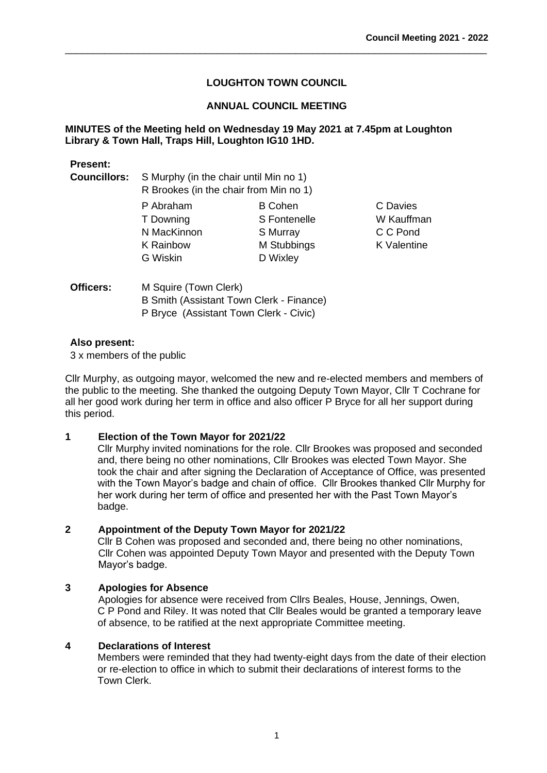\_\_\_\_\_\_\_\_\_\_\_\_\_\_\_\_\_\_\_\_\_\_\_\_\_\_\_\_\_\_\_\_\_\_\_\_\_\_\_\_\_\_\_\_\_\_\_\_\_\_\_\_\_\_\_\_\_\_\_\_\_\_\_\_\_\_\_\_\_\_\_\_\_\_\_

### **ANNUAL COUNCIL MEETING**

### **MINUTES of the Meeting held on Wednesday 19 May 2021 at 7.45pm at Loughton Library & Town Hall, Traps Hill, Loughton IG10 1HD.**

### **Present:**

**Councillors:** S Murphy (in the chair until Min no 1) R Brookes (in the chair from Min no 1)

> P Abraham B Cohen C Davies T Downing S Fontenelle W Kauffman N MacKinnon S Murray C C Pond K Rainbow M Stubbings K Valentine G Wiskin D Wixley

| Officers: | M Squire (Town Clerk)                    |
|-----------|------------------------------------------|
|           | B Smith (Assistant Town Clerk - Finance) |
|           | P Bryce (Assistant Town Clerk - Civic)   |

### **Also present:**

3 x members of the public

Cllr Murphy, as outgoing mayor, welcomed the new and re-elected members and members of the public to the meeting. She thanked the outgoing Deputy Town Mayor, Cllr T Cochrane for all her good work during her term in office and also officer P Bryce for all her support during this period.

### **1 Election of the Town Mayor for 2021/22**

Cllr Murphy invited nominations for the role. Cllr Brookes was proposed and seconded and, there being no other nominations, Cllr Brookes was elected Town Mayor. She took the chair and after signing the Declaration of Acceptance of Office, was presented with the Town Mayor's badge and chain of office. Cllr Brookes thanked Cllr Murphy for her work during her term of office and presented her with the Past Town Mayor's badge.

### **2 Appointment of the Deputy Town Mayor for 2021/22**

Cllr B Cohen was proposed and seconded and, there being no other nominations, Cllr Cohen was appointed Deputy Town Mayor and presented with the Deputy Town Mayor's badge.

### **3 Apologies for Absence**

Apologies for absence were received from Cllrs Beales, House, Jennings, Owen, C P Pond and Riley. It was noted that Cllr Beales would be granted a temporary leave of absence, to be ratified at the next appropriate Committee meeting.

### **4 Declarations of Interest**

Members were reminded that they had twenty-eight days from the date of their election or re-election to office in which to submit their declarations of interest forms to the Town Clerk.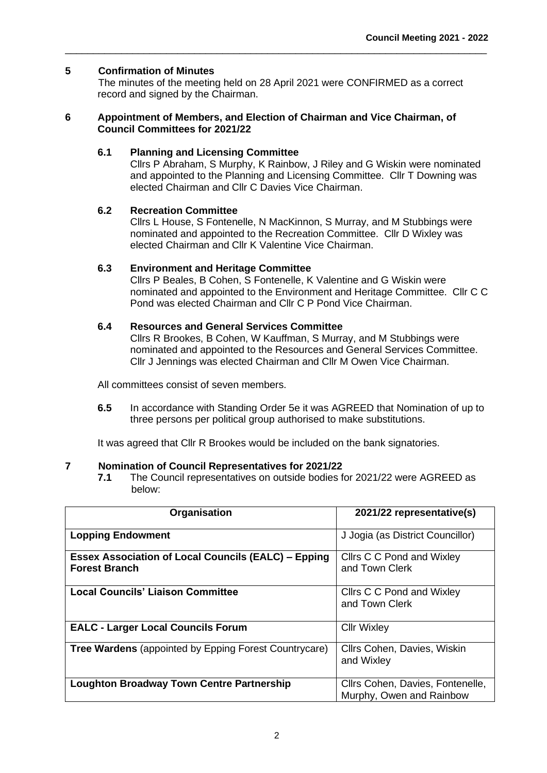### **5 Confirmation of Minutes**

The minutes of the meeting held on 28 April 2021 were CONFIRMED as a correct record and signed by the Chairman.

\_\_\_\_\_\_\_\_\_\_\_\_\_\_\_\_\_\_\_\_\_\_\_\_\_\_\_\_\_\_\_\_\_\_\_\_\_\_\_\_\_\_\_\_\_\_\_\_\_\_\_\_\_\_\_\_\_\_\_\_\_\_\_\_\_\_\_\_\_\_\_\_\_\_\_

#### **6 Appointment of Members, and Election of Chairman and Vice Chairman, of Council Committees for 2021/22**

#### **6.1 Planning and Licensing Committee**

Cllrs P Abraham, S Murphy, K Rainbow, J Riley and G Wiskin were nominated and appointed to the Planning and Licensing Committee. Cllr T Downing was elected Chairman and Cllr C Davies Vice Chairman.

### **6.2 Recreation Committee**

Cllrs L House, S Fontenelle, N MacKinnon, S Murray, and M Stubbings were nominated and appointed to the Recreation Committee. Cllr D Wixley was elected Chairman and Cllr K Valentine Vice Chairman.

#### **6.3 Environment and Heritage Committee**

Cllrs P Beales, B Cohen, S Fontenelle, K Valentine and G Wiskin were nominated and appointed to the Environment and Heritage Committee. Cllr C C Pond was elected Chairman and Cllr C P Pond Vice Chairman.

#### **6.4 Resources and General Services Committee**

Cllrs R Brookes, B Cohen, W Kauffman, S Murray, and M Stubbings were nominated and appointed to the Resources and General Services Committee. Cllr J Jennings was elected Chairman and Cllr M Owen Vice Chairman.

All committees consist of seven members.

**6.5** In accordance with Standing Order 5e it was AGREED that Nomination of up to three persons per political group authorised to make substitutions.

It was agreed that Cllr R Brookes would be included on the bank signatories.

#### **7 Nomination of Council Representatives for 2021/22**

**7.1** The Council representatives on outside bodies for 2021/22 were AGREED as below:

| Organisation                                                                       | 2021/22 representative(s)                                    |
|------------------------------------------------------------------------------------|--------------------------------------------------------------|
| <b>Lopping Endowment</b>                                                           | J Jogia (as District Councillor)                             |
| <b>Essex Association of Local Councils (EALC) - Epping</b><br><b>Forest Branch</b> | Cllrs C C Pond and Wixley<br>and Town Clerk                  |
| <b>Local Councils' Liaison Committee</b>                                           | Cllrs C C Pond and Wixley<br>and Town Clerk                  |
| <b>EALC - Larger Local Councils Forum</b>                                          | <b>Cllr Wixley</b>                                           |
| <b>Tree Wardens</b> (appointed by Epping Forest Countrycare)                       | Cllrs Cohen, Davies, Wiskin<br>and Wixley                    |
| <b>Loughton Broadway Town Centre Partnership</b>                                   | Cllrs Cohen, Davies, Fontenelle,<br>Murphy, Owen and Rainbow |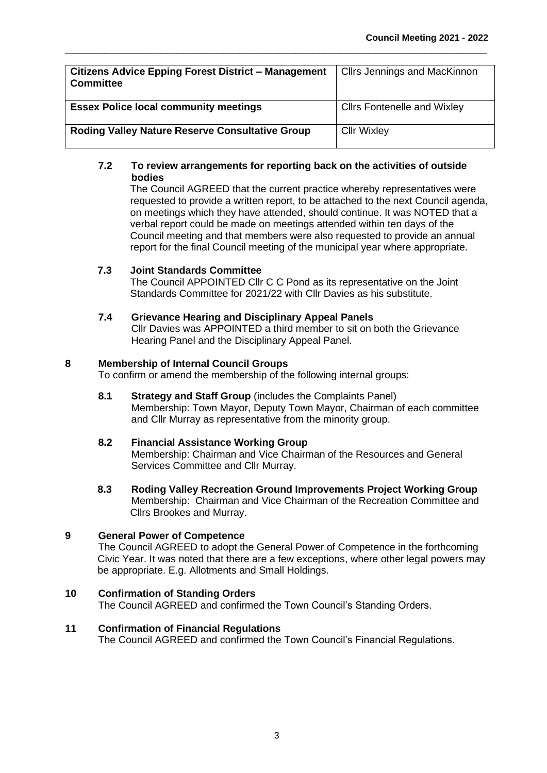| <b>Citizens Advice Epping Forest District - Management</b><br><b>Committee</b> | <b>Cllrs Jennings and MacKinnon</b> |
|--------------------------------------------------------------------------------|-------------------------------------|
| <b>Essex Police local community meetings</b>                                   | <b>Clirs Fontenelle and Wixley</b>  |
| <b>Roding Valley Nature Reserve Consultative Group</b>                         | <b>Cllr Wixley</b>                  |

\_\_\_\_\_\_\_\_\_\_\_\_\_\_\_\_\_\_\_\_\_\_\_\_\_\_\_\_\_\_\_\_\_\_\_\_\_\_\_\_\_\_\_\_\_\_\_\_\_\_\_\_\_\_\_\_\_\_\_\_\_\_\_\_\_\_\_\_\_\_\_\_\_\_\_

### **7.2 To review arrangements for reporting back on the activities of outside bodies**

The Council AGREED that the current practice whereby representatives were requested to provide a written report, to be attached to the next Council agenda, on meetings which they have attended, should continue. It was NOTED that a verbal report could be made on meetings attended within ten days of the Council meeting and that members were also requested to provide an annual report for the final Council meeting of the municipal year where appropriate.

### **7.3 Joint Standards Committee**

The Council APPOINTED Cllr C C Pond as its representative on the Joint Standards Committee for 2021/22 with Cllr Davies as his substitute.

### **7.4 Grievance Hearing and Disciplinary Appeal Panels**

Cllr Davies was APPOINTED a third member to sit on both the Grievance Hearing Panel and the Disciplinary Appeal Panel.

### **8 Membership of Internal Council Groups**

To confirm or amend the membership of the following internal groups:

**8.1 Strategy and Staff Group** (includes the Complaints Panel) Membership: Town Mayor, Deputy Town Mayor, Chairman of each committee and Cllr Murray as representative from the minority group.

### **8.2 Financial Assistance Working Group**

Membership: Chairman and Vice Chairman of the Resources and General Services Committee and Cllr Murray.

**8.3 Roding Valley Recreation Ground Improvements Project Working Group** Membership: Chairman and Vice Chairman of the Recreation Committee and Cllrs Brookes and Murray.

### **9 General Power of Competence**

The Council AGREED to adopt the General Power of Competence in the forthcoming Civic Year. It was noted that there are a few exceptions, where other legal powers may be appropriate. E.g. Allotments and Small Holdings.

### **10 Confirmation of Standing Orders**

The Council AGREED and confirmed the Town Council's Standing Orders.

### **11 Confirmation of Financial Regulations**

The Council AGREED and confirmed the Town Council's Financial Regulations.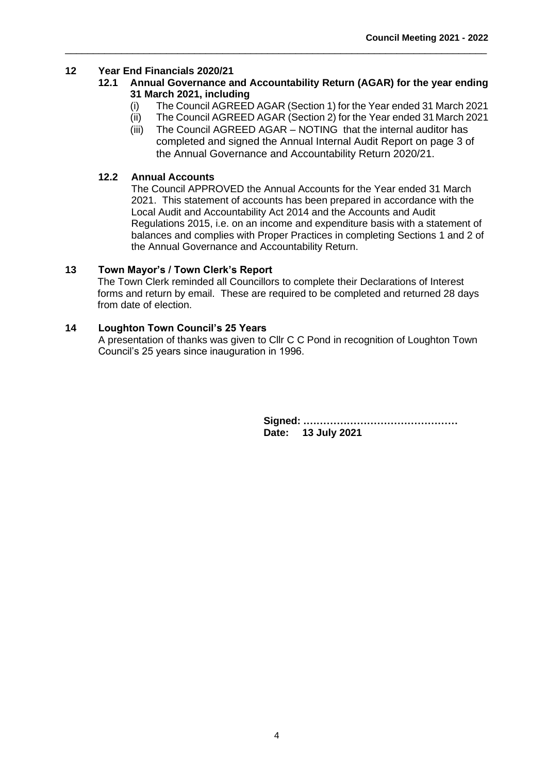### **12 Year End Financials 2020/21**

### **12.1 Annual Governance and Accountability Return (AGAR) for the year ending 31 March 2021, including**

\_\_\_\_\_\_\_\_\_\_\_\_\_\_\_\_\_\_\_\_\_\_\_\_\_\_\_\_\_\_\_\_\_\_\_\_\_\_\_\_\_\_\_\_\_\_\_\_\_\_\_\_\_\_\_\_\_\_\_\_\_\_\_\_\_\_\_\_\_\_\_\_\_\_\_

- (i) The Council AGREED AGAR (Section 1) for the Year ended 31 March 2021
- (ii) The Council AGREED AGAR (Section 2) for the Year ended 31March 2021
- (iii) The Council AGREED AGAR NOTING that the internal auditor has completed and signed the Annual Internal Audit Report on page 3 of the Annual Governance and Accountability Return 2020/21.

### **12.2 Annual Accounts**

The Council APPROVED the Annual Accounts for the Year ended 31 March 2021. This statement of accounts has been prepared in accordance with the Local Audit and Accountability Act 2014 and the Accounts and Audit Regulations 2015, i.e. on an income and expenditure basis with a statement of balances and complies with Proper Practices in completing Sections 1 and 2 of the Annual Governance and Accountability Return.

#### **13 Town Mayor's / Town Clerk's Report**

The Town Clerk reminded all Councillors to complete their Declarations of Interest forms and return by email. These are required to be completed and returned 28 days from date of election.

#### **14 Loughton Town Council's 25 Years**

A presentation of thanks was given to Cllr C C Pond in recognition of Loughton Town Council's 25 years since inauguration in 1996.

> **Signed: .……………………………………… Date: 13 July 2021**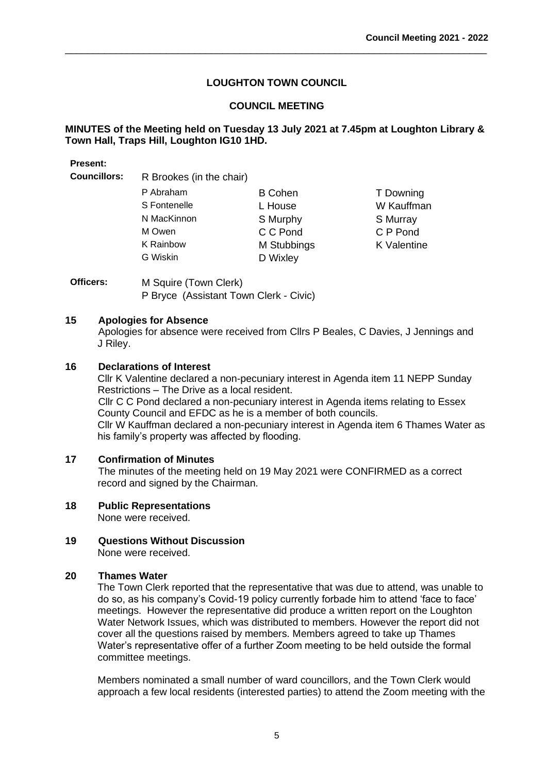\_\_\_\_\_\_\_\_\_\_\_\_\_\_\_\_\_\_\_\_\_\_\_\_\_\_\_\_\_\_\_\_\_\_\_\_\_\_\_\_\_\_\_\_\_\_\_\_\_\_\_\_\_\_\_\_\_\_\_\_\_\_\_\_\_\_\_\_\_\_\_\_\_\_\_

### **COUNCIL MEETING**

### **MINUTES of the Meeting held on Tuesday 13 July 2021 at 7.45pm at Loughton Library & Town Hall, Traps Hill, Loughton IG10 1HD.**

#### **Present:**

**Councillors:** R Brookes (in the chair)

| <b>B</b> Cohen | T Downing          |
|----------------|--------------------|
| L House        | W Kauffman         |
| S Murphy       | S Murray           |
| C C Pond       | C P Pond           |
| M Stubbings    | <b>K</b> Valentine |
| D Wixley       |                    |
|                |                    |

**Officers:** M Squire (Town Clerk) P Bryce (Assistant Town Clerk - Civic)

### **15 Apologies for Absence**

Apologies for absence were received from Cllrs P Beales, C Davies, J Jennings and J Riley.

### **16 Declarations of Interest**

Cllr K Valentine declared a non-pecuniary interest in Agenda item 11 NEPP Sunday Restrictions – The Drive as a local resident. Cllr C C Pond declared a non-pecuniary interest in Agenda items relating to Essex County Council and EFDC as he is a member of both councils. Cllr W Kauffman declared a non-pecuniary interest in Agenda item 6 Thames Water as his family's property was affected by flooding.

### **17 Confirmation of Minutes**

The minutes of the meeting held on 19 May 2021 were CONFIRMED as a correct record and signed by the Chairman.

### **18 Public Representations**

None were received.

**19 Questions Without Discussion**  None were received.

### **20 Thames Water**

The Town Clerk reported that the representative that was due to attend, was unable to do so, as his company's Covid-19 policy currently forbade him to attend 'face to face' meetings. However the representative did produce a written report on the Loughton Water Network Issues, which was distributed to members. However the report did not cover all the questions raised by members. Members agreed to take up Thames Water's representative offer of a further Zoom meeting to be held outside the formal committee meetings.

Members nominated a small number of ward councillors, and the Town Clerk would approach a few local residents (interested parties) to attend the Zoom meeting with the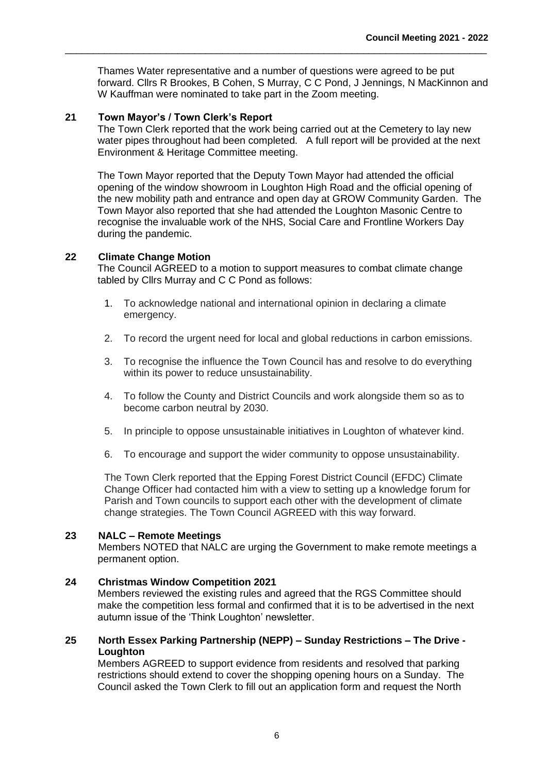Thames Water representative and a number of questions were agreed to be put forward. Cllrs R Brookes, B Cohen, S Murray, C C Pond, J Jennings, N MacKinnon and W Kauffman were nominated to take part in the Zoom meeting.

\_\_\_\_\_\_\_\_\_\_\_\_\_\_\_\_\_\_\_\_\_\_\_\_\_\_\_\_\_\_\_\_\_\_\_\_\_\_\_\_\_\_\_\_\_\_\_\_\_\_\_\_\_\_\_\_\_\_\_\_\_\_\_\_\_\_\_\_\_\_\_\_\_\_\_

### **21 Town Mayor's / Town Clerk's Report**

The Town Clerk reported that the work being carried out at the Cemetery to lay new water pipes throughout had been completed. A full report will be provided at the next Environment & Heritage Committee meeting.

The Town Mayor reported that the Deputy Town Mayor had attended the official opening of the window showroom in Loughton High Road and the official opening of the new mobility path and entrance and open day at GROW Community Garden. The Town Mayor also reported that she had attended the Loughton Masonic Centre to recognise the invaluable work of the NHS, Social Care and Frontline Workers Day during the pandemic.

### **22 Climate Change Motion**

The Council AGREED to a motion to support measures to combat climate change tabled by Cllrs Murray and C C Pond as follows:

- 1. To acknowledge national and international opinion in declaring a climate emergency.
- 2. To record the urgent need for local and global reductions in carbon emissions.
- 3. To recognise the influence the Town Council has and resolve to do everything within its power to reduce unsustainability.
- 4. To follow the County and District Councils and work alongside them so as to become carbon neutral by 2030.
- 5. In principle to oppose unsustainable initiatives in Loughton of whatever kind.
- 6. To encourage and support the wider community to oppose unsustainability.

The Town Clerk reported that the Epping Forest District Council (EFDC) Climate Change Officer had contacted him with a view to setting up a knowledge forum for Parish and Town councils to support each other with the development of climate change strategies. The Town Council AGREED with this way forward.

### **23 NALC – Remote Meetings**

Members NOTED that NALC are urging the Government to make remote meetings a permanent option.

#### **24 Christmas Window Competition 2021**

Members reviewed the existing rules and agreed that the RGS Committee should make the competition less formal and confirmed that it is to be advertised in the next autumn issue of the 'Think Loughton' newsletter.

#### **25 North Essex Parking Partnership (NEPP) – Sunday Restrictions – The Drive - Loughton**

Members AGREED to support evidence from residents and resolved that parking restrictions should extend to cover the shopping opening hours on a Sunday. The Council asked the Town Clerk to fill out an application form and request the North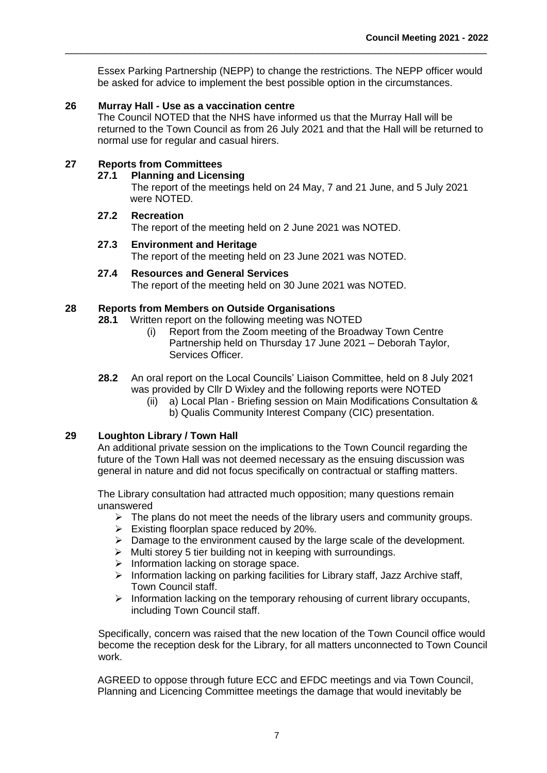Essex Parking Partnership (NEPP) to change the restrictions. The NEPP officer would be asked for advice to implement the best possible option in the circumstances.

\_\_\_\_\_\_\_\_\_\_\_\_\_\_\_\_\_\_\_\_\_\_\_\_\_\_\_\_\_\_\_\_\_\_\_\_\_\_\_\_\_\_\_\_\_\_\_\_\_\_\_\_\_\_\_\_\_\_\_\_\_\_\_\_\_\_\_\_\_\_\_\_\_\_\_

### **26 Murray Hall - Use as a vaccination centre**

The Council NOTED that the NHS have informed us that the Murray Hall will be returned to the Town Council as from 26 July 2021 and that the Hall will be returned to normal use for regular and casual hirers.

### **27 Reports from Committees**

#### **27.1 Planning and Licensing**

The report of the meetings held on 24 May, 7 and 21 June, and 5 July 2021 were NOTED.

### **27.2 Recreation**

The report of the meeting held on 2 June 2021 was NOTED.

### **27.3 Environment and Heritage**

The report of the meeting held on 23 June 2021 was NOTED.

**27.4 Resources and General Services** The report of the meeting held on 30 June 2021 was NOTED.

### **28 Reports from Members on Outside Organisations**

**28.1** Written report on the following meeting was NOTED

- (i) Report from the Zoom meeting of the Broadway Town Centre Partnership held on Thursday 17 June 2021 – Deborah Taylor, Services Officer.
- **28.2** An oral report on the Local Councils' Liaison Committee, held on 8 July 2021 was provided by Cllr D Wixley and the following reports were NOTED
	- (ii) a) Local Plan Briefing session on Main Modifications Consultation & b) Qualis Community Interest Company (CIC) presentation.

### **29 Loughton Library / Town Hall**

An additional private session on the implications to the Town Council regarding the future of the Town Hall was not deemed necessary as the ensuing discussion was general in nature and did not focus specifically on contractual or staffing matters.

The Library consultation had attracted much opposition; many questions remain unanswered

- $\triangleright$  The plans do not meet the needs of the library users and community groups.
- $\triangleright$  Existing floorplan space reduced by 20%.
- ➢ Damage to the environment caused by the large scale of the development.
- ➢ Multi storey 5 tier building not in keeping with surroundings.
- ➢ Information lacking on storage space.
- ➢ Information lacking on parking facilities for Library staff, Jazz Archive staff, Town Council staff.
- ➢ Information lacking on the temporary rehousing of current library occupants, including Town Council staff.

Specifically, concern was raised that the new location of the Town Council office would become the reception desk for the Library, for all matters unconnected to Town Council work.

AGREED to oppose through future ECC and EFDC meetings and via Town Council, Planning and Licencing Committee meetings the damage that would inevitably be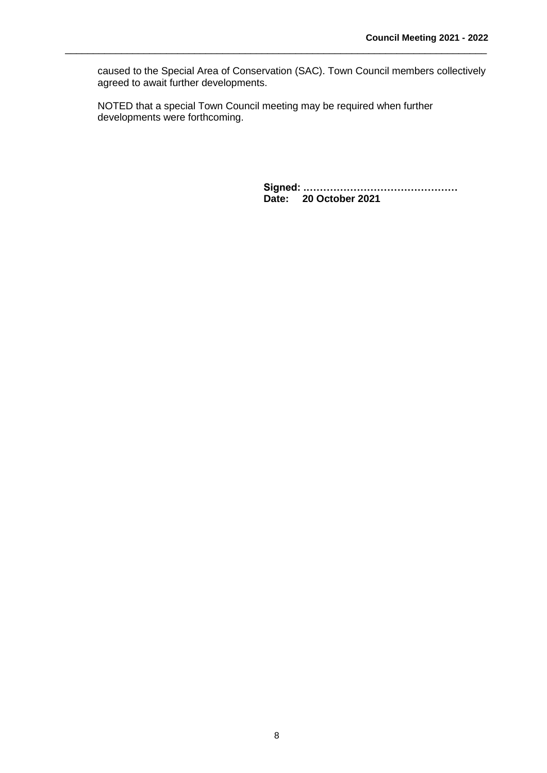caused to the Special Area of Conservation (SAC). Town Council members collectively agreed to await further developments.

NOTED that a special Town Council meeting may be required when further developments were forthcoming.

\_\_\_\_\_\_\_\_\_\_\_\_\_\_\_\_\_\_\_\_\_\_\_\_\_\_\_\_\_\_\_\_\_\_\_\_\_\_\_\_\_\_\_\_\_\_\_\_\_\_\_\_\_\_\_\_\_\_\_\_\_\_\_\_\_\_\_\_\_\_\_\_\_\_\_

**Signed: .……………………………………… Date: 20 October 2021**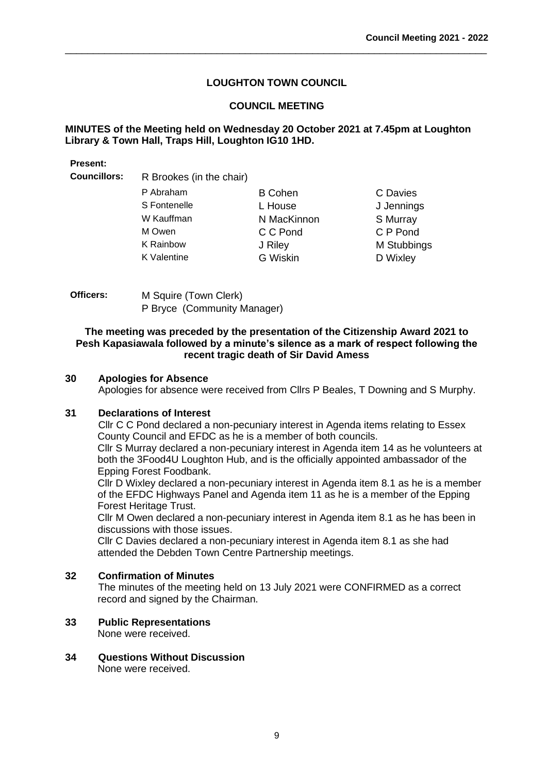C Davies J Jennings S Murray C P Pond **M Stubbings** D Wixley

### **LOUGHTON TOWN COUNCIL**

\_\_\_\_\_\_\_\_\_\_\_\_\_\_\_\_\_\_\_\_\_\_\_\_\_\_\_\_\_\_\_\_\_\_\_\_\_\_\_\_\_\_\_\_\_\_\_\_\_\_\_\_\_\_\_\_\_\_\_\_\_\_\_\_\_\_\_\_\_\_\_\_\_\_\_

### **COUNCIL MEETING**

### **MINUTES of the Meeting held on Wednesday 20 October 2021 at 7.45pm at Loughton Library & Town Hall, Traps Hill, Loughton IG10 1HD.**

#### **Present:**

**Councillors:** R Brookes (in the chair)

| P Abraham    | <b>B</b> Cohen |
|--------------|----------------|
| S Fontenelle | L House        |
| W Kauffman   | N MacKinnon    |
| M Owen       | C C Pond       |
| K Rainbow    | J Riley        |
| K Valentine  | G Wiskin       |
|              |                |

**Officers:** M Squire (Town Clerk) P Bryce (Community Manager)

#### **The meeting was preceded by the presentation of the Citizenship Award 2021 to Pesh Kapasiawala followed by a minute's silence as a mark of respect following the recent tragic death of Sir David Amess**

### **30 Apologies for Absence**

Apologies for absence were received from Cllrs P Beales, T Downing and S Murphy.

#### **31 Declarations of Interest**

Cllr C C Pond declared a non-pecuniary interest in Agenda items relating to Essex County Council and EFDC as he is a member of both councils.

Cllr S Murray declared a non-pecuniary interest in Agenda item 14 as he volunteers at both the 3Food4U Loughton Hub, and is the officially appointed ambassador of the Epping Forest Foodbank.

Cllr D Wixley declared a non-pecuniary interest in Agenda item 8.1 as he is a member of the EFDC Highways Panel and Agenda item 11 as he is a member of the Epping Forest Heritage Trust.

Cllr M Owen declared a non-pecuniary interest in Agenda item 8.1 as he has been in discussions with those issues.

Cllr C Davies declared a non-pecuniary interest in Agenda item 8.1 as she had attended the Debden Town Centre Partnership meetings.

### **32 Confirmation of Minutes**

The minutes of the meeting held on 13 July 2021 were CONFIRMED as a correct record and signed by the Chairman.

### **33 Public Representations**

None were received.

**34 Questions Without Discussion**  None were received.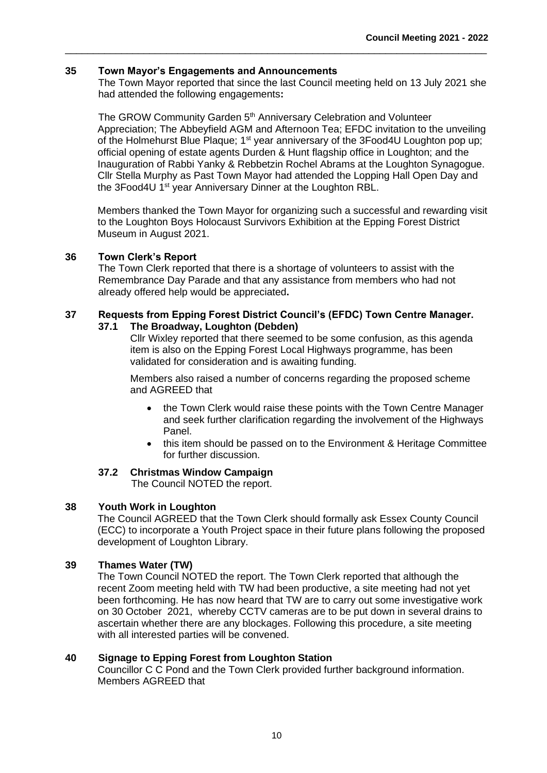### **35 Town Mayor's Engagements and Announcements**

The Town Mayor reported that since the last Council meeting held on 13 July 2021 she had attended the following engagements**:**

\_\_\_\_\_\_\_\_\_\_\_\_\_\_\_\_\_\_\_\_\_\_\_\_\_\_\_\_\_\_\_\_\_\_\_\_\_\_\_\_\_\_\_\_\_\_\_\_\_\_\_\_\_\_\_\_\_\_\_\_\_\_\_\_\_\_\_\_\_\_\_\_\_\_\_

The GROW Community Garden 5<sup>th</sup> Anniversary Celebration and Volunteer Appreciation; The Abbeyfield AGM and Afternoon Tea; EFDC invitation to the unveiling of the Holmehurst Blue Plaque; 1<sup>st</sup> year anniversary of the 3Food4U Loughton pop up; official opening of estate agents Durden & Hunt flagship office in Loughton; and the Inauguration of Rabbi Yanky & Rebbetzin Rochel Abrams at the Loughton Synagogue. Cllr Stella Murphy as Past Town Mayor had attended the Lopping Hall Open Day and the 3Food4U 1<sup>st</sup> year Anniversary Dinner at the Loughton RBL.

Members thanked the Town Mayor for organizing such a successful and rewarding visit to the Loughton Boys Holocaust Survivors Exhibition at the Epping Forest District Museum in August 2021.

### **36 Town Clerk's Report**

The Town Clerk reported that there is a shortage of volunteers to assist with the Remembrance Day Parade and that any assistance from members who had not already offered help would be appreciated**.**

#### **37 Requests from Epping Forest District Council's (EFDC) Town Centre Manager. 37.1 The Broadway, Loughton (Debden)**

Cllr Wixley reported that there seemed to be some confusion, as this agenda item is also on the Epping Forest Local Highways programme, has been validated for consideration and is awaiting funding.

Members also raised a number of concerns regarding the proposed scheme and AGREED that

- the Town Clerk would raise these points with the Town Centre Manager and seek further clarification regarding the involvement of the Highways Panel.
- this item should be passed on to the Environment & Heritage Committee for further discussion.

### **37.2 Christmas Window Campaign**

The Council NOTED the report.

### **38 Youth Work in Loughton**

The Council AGREED that the Town Clerk should formally ask Essex County Council (ECC) to incorporate a Youth Project space in their future plans following the proposed development of Loughton Library.

### **39 Thames Water (TW)**

The Town Council NOTED the report. The Town Clerk reported that although the recent Zoom meeting held with TW had been productive, a site meeting had not yet been forthcoming. He has now heard that TW are to carry out some investigative work on 30 October 2021, whereby CCTV cameras are to be put down in several drains to ascertain whether there are any blockages. Following this procedure, a site meeting with all interested parties will be convened.

### **40 Signage to Epping Forest from Loughton Station**

Councillor C C Pond and the Town Clerk provided further background information. Members AGREED that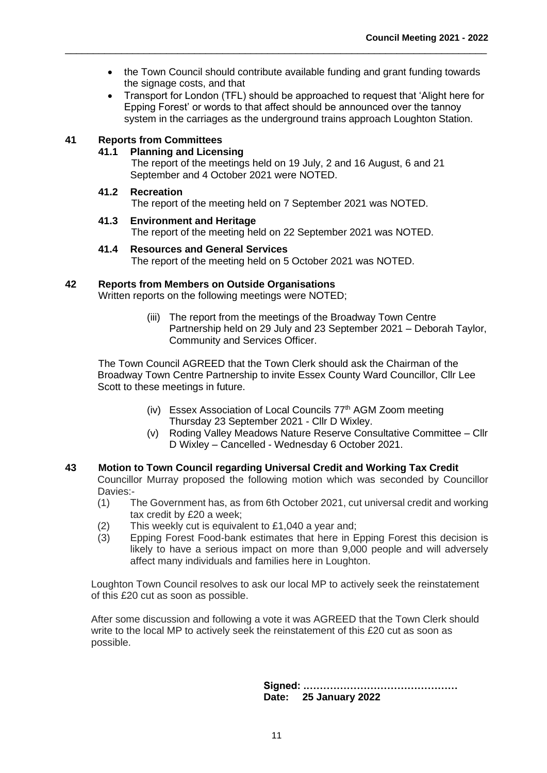• the Town Council should contribute available funding and grant funding towards the signage costs, and that

\_\_\_\_\_\_\_\_\_\_\_\_\_\_\_\_\_\_\_\_\_\_\_\_\_\_\_\_\_\_\_\_\_\_\_\_\_\_\_\_\_\_\_\_\_\_\_\_\_\_\_\_\_\_\_\_\_\_\_\_\_\_\_\_\_\_\_\_\_\_\_\_\_\_\_

• Transport for London (TFL) should be approached to request that 'Alight here for Epping Forest' or words to that affect should be announced over the tannoy system in the carriages as the underground trains approach Loughton Station.

### **41 Reports from Committees**

#### **41.1 Planning and Licensing**

The report of the meetings held on 19 July, 2 and 16 August, 6 and 21 September and 4 October 2021 were NOTED.

#### **41.2 Recreation**

The report of the meeting held on 7 September 2021 was NOTED.

#### **41.3 Environment and Heritage**

The report of the meeting held on 22 September 2021 was NOTED.

#### **41.4 Resources and General Services**

The report of the meeting held on 5 October 2021 was NOTED.

#### **42 Reports from Members on Outside Organisations**

Written reports on the following meetings were NOTED;

(iii) The report from the meetings of the Broadway Town Centre Partnership held on 29 July and 23 September 2021 – Deborah Taylor, Community and Services Officer.

The Town Council AGREED that the Town Clerk should ask the Chairman of the Broadway Town Centre Partnership to invite Essex County Ward Councillor, Cllr Lee Scott to these meetings in future.

- (iv) Essex Association of Local Councils 77<sup>th</sup> AGM Zoom meeting Thursday 23 September 2021 - Cllr D Wixley.
- (v) Roding Valley Meadows Nature Reserve Consultative Committee Cllr D Wixley – Cancelled - Wednesday 6 October 2021.

### **43 Motion to Town Council regarding Universal Credit and Working Tax Credit**

Councillor Murray proposed the following motion which was seconded by Councillor Davies:-

- (1) The Government has, as from 6th October 2021, cut universal credit and working tax credit by £20 a week;
- (2) This weekly cut is equivalent to £1,040 a year and;
- (3) Epping Forest Food-bank estimates that here in Epping Forest this decision is likely to have a serious impact on more than 9,000 people and will adversely affect many individuals and families here in Loughton.

Loughton Town Council resolves to ask our local MP to actively seek the reinstatement of this £20 cut as soon as possible.

After some discussion and following a vote it was AGREED that the Town Clerk should write to the local MP to actively seek the reinstatement of this £20 cut as soon as possible.

> **Signed: .……………………………………… Date: 25 January 2022**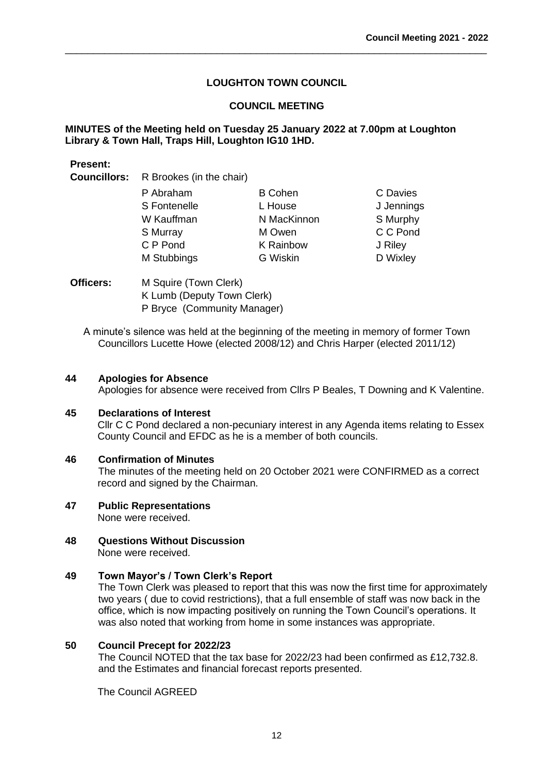\_\_\_\_\_\_\_\_\_\_\_\_\_\_\_\_\_\_\_\_\_\_\_\_\_\_\_\_\_\_\_\_\_\_\_\_\_\_\_\_\_\_\_\_\_\_\_\_\_\_\_\_\_\_\_\_\_\_\_\_\_\_\_\_\_\_\_\_\_\_\_\_\_\_\_

### **COUNCIL MEETING**

### **MINUTES of the Meeting held on Tuesday 25 January 2022 at 7.00pm at Loughton Library & Town Hall, Traps Hill, Loughton IG10 1HD.**

| . |                                              |                  |            |
|---|----------------------------------------------|------------------|------------|
|   | <b>Councillors:</b> R Brookes (in the chair) |                  |            |
|   | P Abraham                                    | <b>B</b> Cohen   | C Davies   |
|   | S Fontenelle                                 | L House          | J Jennings |
|   | W Kauffman                                   | N MacKinnon      | S Murphy   |
|   | S Murray                                     | M Owen           | C C Pond   |
|   | C P Pond                                     | <b>K</b> Rainbow | J Riley    |
|   | M Stubbings                                  | <b>G</b> Wiskin  | D Wixley   |
|   |                                              |                  |            |
|   |                                              |                  |            |

**Officers:** M Squire (Town Clerk) K Lumb (Deputy Town Clerk) P Bryce (Community Manager)

A minute's silence was held at the beginning of the meeting in memory of former Town Councillors Lucette Howe (elected 2008/12) and Chris Harper (elected 2011/12)

### **44 Apologies for Absence**

**Present:**

Apologies for absence were received from Cllrs P Beales, T Downing and K Valentine.

#### **45 Declarations of Interest**

Cllr C C Pond declared a non-pecuniary interest in any Agenda items relating to Essex County Council and EFDC as he is a member of both councils.

#### **46 Confirmation of Minutes**

The minutes of the meeting held on 20 October 2021 were CONFIRMED as a correct record and signed by the Chairman.

## **47 Public Representations**

None were received.

**48 Questions Without Discussion**  None were received.

#### **49 Town Mayor's / Town Clerk's Report**

The Town Clerk was pleased to report that this was now the first time for approximately two years ( due to covid restrictions), that a full ensemble of staff was now back in the office, which is now impacting positively on running the Town Council's operations. It was also noted that working from home in some instances was appropriate.

#### **50 Council Precept for 2022/23**

The Council NOTED that the tax base for 2022/23 had been confirmed as £12,732.8. and the Estimates and financial forecast reports presented.

The Council AGREED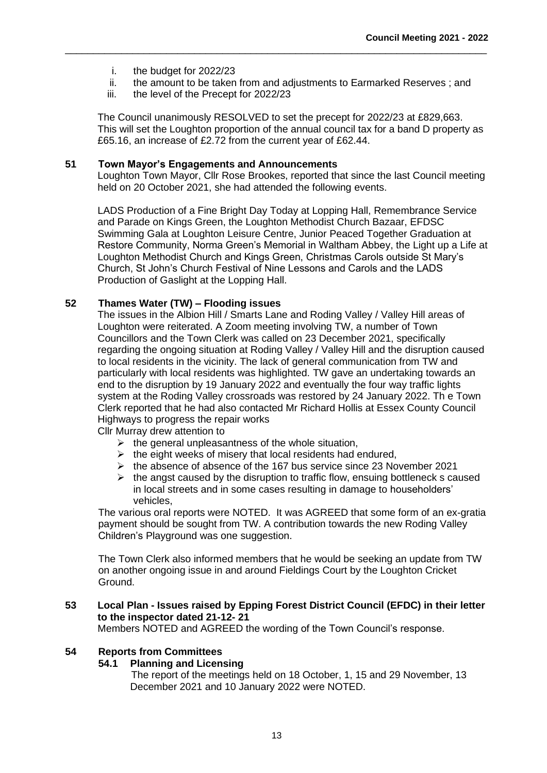- i. the budget for 2022/23
- ii. the amount to be taken from and adjustments to Earmarked Reserves ; and

\_\_\_\_\_\_\_\_\_\_\_\_\_\_\_\_\_\_\_\_\_\_\_\_\_\_\_\_\_\_\_\_\_\_\_\_\_\_\_\_\_\_\_\_\_\_\_\_\_\_\_\_\_\_\_\_\_\_\_\_\_\_\_\_\_\_\_\_\_\_\_\_\_\_\_

iii. the level of the Precept for 2022/23

The Council unanimously RESOLVED to set the precept for 2022/23 at £829,663. This will set the Loughton proportion of the annual council tax for a band D property as £65.16, an increase of £2.72 from the current year of £62.44.

#### **51 Town Mayor's Engagements and Announcements**

Loughton Town Mayor, Cllr Rose Brookes, reported that since the last Council meeting held on 20 October 2021, she had attended the following events.

LADS Production of a Fine Bright Day Today at Lopping Hall, Remembrance Service and Parade on Kings Green, the Loughton Methodist Church Bazaar, EFDSC Swimming Gala at Loughton Leisure Centre, Junior Peaced Together Graduation at Restore Community, Norma Green's Memorial in Waltham Abbey, the Light up a Life at Loughton Methodist Church and Kings Green, Christmas Carols outside St Mary's Church, St John's Church Festival of Nine Lessons and Carols and the LADS Production of Gaslight at the Lopping Hall.

### **52 Thames Water (TW) – Flooding issues**

The issues in the Albion Hill / Smarts Lane and Roding Valley / Valley Hill areas of Loughton were reiterated. A Zoom meeting involving TW, a number of Town Councillors and the Town Clerk was called on 23 December 2021, specifically regarding the ongoing situation at Roding Valley / Valley Hill and the disruption caused to local residents in the vicinity. The lack of general communication from TW and particularly with local residents was highlighted. TW gave an undertaking towards an end to the disruption by 19 January 2022 and eventually the four way traffic lights system at the Roding Valley crossroads was restored by 24 January 2022. Th e Town Clerk reported that he had also contacted Mr Richard Hollis at Essex County Council Highways to progress the repair works

Cllr Murray drew attention to

- $\triangleright$  the general unpleasantness of the whole situation,
- $\triangleright$  the eight weeks of misery that local residents had endured,
- ➢ the absence of absence of the 167 bus service since 23 November 2021
- $\triangleright$  the angst caused by the disruption to traffic flow, ensuing bottleneck s caused in local streets and in some cases resulting in damage to householders' vehicles,

The various oral reports were NOTED. It was AGREED that some form of an ex-gratia payment should be sought from TW. A contribution towards the new Roding Valley Children's Playground was one suggestion.

The Town Clerk also informed members that he would be seeking an update from TW on another ongoing issue in and around Fieldings Court by the Loughton Cricket Ground.

### **53 Local Plan - Issues raised by Epping Forest District Council (EFDC) in their letter to the inspector dated 21-12- 21**

Members NOTED and AGREED the wording of the Town Council's response.

#### **54 Reports from Committees**

#### **54.1 Planning and Licensing**

The report of the meetings held on 18 October, 1, 15 and 29 November, 13 December 2021 and 10 January 2022 were NOTED.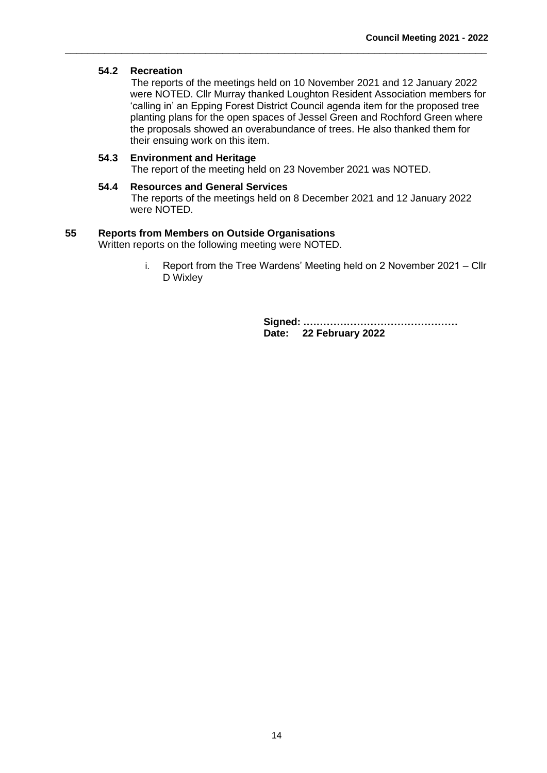### **54.2 Recreation**

The reports of the meetings held on 10 November 2021 and 12 January 2022 were NOTED. Cllr Murray thanked Loughton Resident Association members for 'calling in' an Epping Forest District Council agenda item for the proposed tree planting plans for the open spaces of Jessel Green and Rochford Green where the proposals showed an overabundance of trees. He also thanked them for their ensuing work on this item.

#### **54.3 Environment and Heritage**

The report of the meeting held on 23 November 2021 was NOTED.

\_\_\_\_\_\_\_\_\_\_\_\_\_\_\_\_\_\_\_\_\_\_\_\_\_\_\_\_\_\_\_\_\_\_\_\_\_\_\_\_\_\_\_\_\_\_\_\_\_\_\_\_\_\_\_\_\_\_\_\_\_\_\_\_\_\_\_\_\_\_\_\_\_\_\_

### **54.4 Resources and General Services**

The reports of the meetings held on 8 December 2021 and 12 January 2022 were NOTED.

### **55 Reports from Members on Outside Organisations**

Written reports on the following meeting were NOTED.

i. Report from the Tree Wardens' Meeting held on 2 November 2021 – Cllr D Wixley

> **Signed: .……………………………………… Date: 22 February 2022**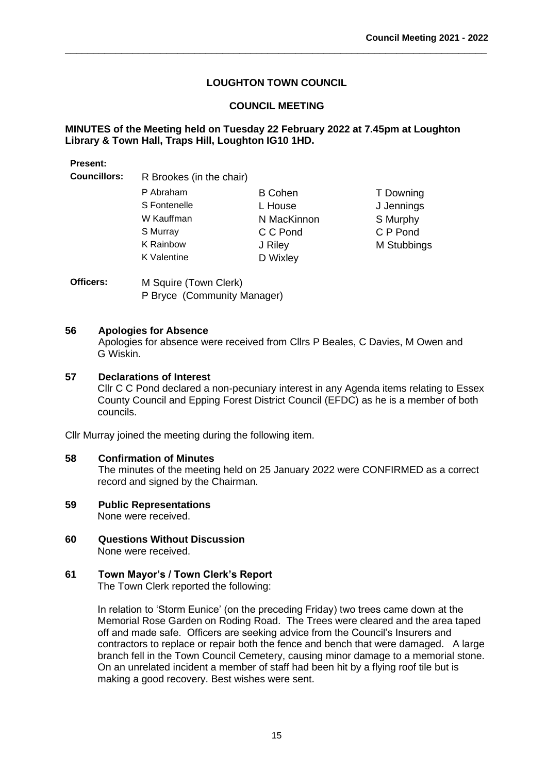\_\_\_\_\_\_\_\_\_\_\_\_\_\_\_\_\_\_\_\_\_\_\_\_\_\_\_\_\_\_\_\_\_\_\_\_\_\_\_\_\_\_\_\_\_\_\_\_\_\_\_\_\_\_\_\_\_\_\_\_\_\_\_\_\_\_\_\_\_\_\_\_\_\_\_

### **COUNCIL MEETING**

### **MINUTES of the Meeting held on Tuesday 22 February 2022 at 7.45pm at Loughton Library & Town Hall, Traps Hill, Loughton IG10 1HD.**

#### **Present:**

**Councillors:** R Brookes (in the chair)

| P Abraham        | <b>B</b> Cohen | T Downing   |
|------------------|----------------|-------------|
| S Fontenelle     | L House        | J Jennings  |
| W Kauffman       | N MacKinnon    | S Murphy    |
| S Murray         | C C Pond       | C P Pond    |
| <b>K</b> Rainbow | J Riley        | M Stubbings |
| K Valentine      | D Wixley       |             |
|                  |                |             |

**Officers:** M Squire (Town Clerk) P Bryce (Community Manager)

#### **56 Apologies for Absence**

Apologies for absence were received from Cllrs P Beales, C Davies, M Owen and G Wiskin.

### **57 Declarations of Interest**

Cllr C C Pond declared a non-pecuniary interest in any Agenda items relating to Essex County Council and Epping Forest District Council (EFDC) as he is a member of both councils.

Cllr Murray joined the meeting during the following item.

#### **58 Confirmation of Minutes**

The minutes of the meeting held on 25 January 2022 were CONFIRMED as a correct record and signed by the Chairman.

- **59 Public Representations** None were received.
- **60 Questions Without Discussion**  None were received.

# **61 Town Mayor's / Town Clerk's Report**

The Town Clerk reported the following:

In relation to 'Storm Eunice' (on the preceding Friday) two trees came down at the Memorial Rose Garden on Roding Road. The Trees were cleared and the area taped off and made safe. Officers are seeking advice from the Council's Insurers and contractors to replace or repair both the fence and bench that were damaged. A large branch fell in the Town Council Cemetery, causing minor damage to a memorial stone. On an unrelated incident a member of staff had been hit by a flying roof tile but is making a good recovery. Best wishes were sent.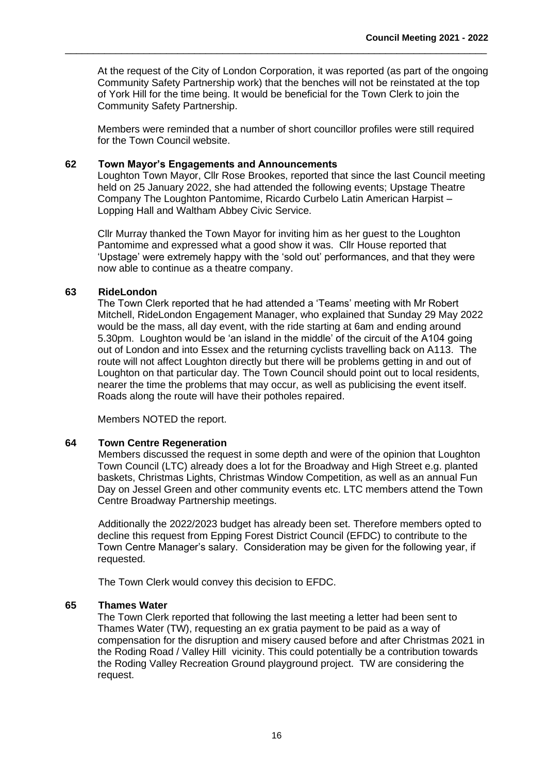At the request of the City of London Corporation, it was reported (as part of the ongoing Community Safety Partnership work) that the benches will not be reinstated at the top of York Hill for the time being. It would be beneficial for the Town Clerk to join the Community Safety Partnership.

\_\_\_\_\_\_\_\_\_\_\_\_\_\_\_\_\_\_\_\_\_\_\_\_\_\_\_\_\_\_\_\_\_\_\_\_\_\_\_\_\_\_\_\_\_\_\_\_\_\_\_\_\_\_\_\_\_\_\_\_\_\_\_\_\_\_\_\_\_\_\_\_\_\_\_

Members were reminded that a number of short councillor profiles were still required for the Town Council website.

#### **62 Town Mayor's Engagements and Announcements**

Loughton Town Mayor, Cllr Rose Brookes, reported that since the last Council meeting held on 25 January 2022, she had attended the following events; Upstage Theatre Company The Loughton Pantomime, Ricardo Curbelo Latin American Harpist – Lopping Hall and Waltham Abbey Civic Service.

Cllr Murray thanked the Town Mayor for inviting him as her guest to the Loughton Pantomime and expressed what a good show it was. Cllr House reported that 'Upstage' were extremely happy with the 'sold out' performances, and that they were now able to continue as a theatre company.

#### **63 RideLondon**

The Town Clerk reported that he had attended a 'Teams' meeting with Mr Robert Mitchell, RideLondon Engagement Manager, who explained that Sunday 29 May 2022 would be the mass, all day event, with the ride starting at 6am and ending around 5.30pm. Loughton would be 'an island in the middle' of the circuit of the A104 going out of London and into Essex and the returning cyclists travelling back on A113. The route will not affect Loughton directly but there will be problems getting in and out of Loughton on that particular day. The Town Council should point out to local residents, nearer the time the problems that may occur, as well as publicising the event itself. Roads along the route will have their potholes repaired.

Members NOTED the report.

#### **64 Town Centre Regeneration**

Members discussed the request in some depth and were of the opinion that Loughton Town Council (LTC) already does a lot for the Broadway and High Street e.g. planted baskets, Christmas Lights, Christmas Window Competition, as well as an annual Fun Day on Jessel Green and other community events etc. LTC members attend the Town Centre Broadway Partnership meetings.

Additionally the 2022/2023 budget has already been set. Therefore members opted to decline this request from Epping Forest District Council (EFDC) to contribute to the Town Centre Manager's salary. Consideration may be given for the following year, if requested.

The Town Clerk would convey this decision to EFDC.

#### **65 Thames Water**

The Town Clerk reported that following the last meeting a letter had been sent to Thames Water (TW), requesting an ex gratia payment to be paid as a way of compensation for the disruption and misery caused before and after Christmas 2021 in the Roding Road / Valley Hill vicinity. This could potentially be a contribution towards the Roding Valley Recreation Ground playground project. TW are considering the request.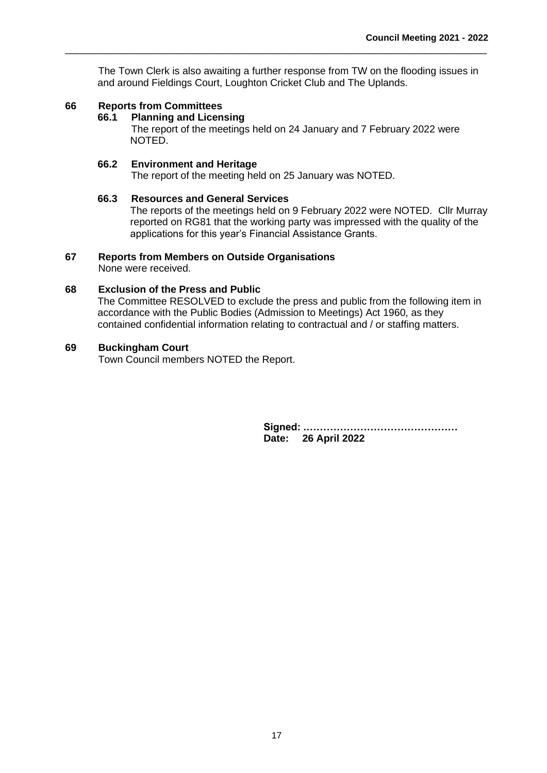The Town Clerk is also awaiting a further response from TW on the flooding issues in and around Fieldings Court, Loughton Cricket Club and The Uplands.

\_\_\_\_\_\_\_\_\_\_\_\_\_\_\_\_\_\_\_\_\_\_\_\_\_\_\_\_\_\_\_\_\_\_\_\_\_\_\_\_\_\_\_\_\_\_\_\_\_\_\_\_\_\_\_\_\_\_\_\_\_\_\_\_\_\_\_\_\_\_\_\_\_\_\_

### **66 Reports from Committees**

#### **66.1 Planning and Licensing**

The report of the meetings held on 24 January and 7 February 2022 were NOTED.

#### **66.2 Environment and Heritage**

The report of the meeting held on 25 January was NOTED.

#### **66.3 Resources and General Services**

The reports of the meetings held on 9 February 2022 were NOTED. Cllr Murray reported on RG81 that the working party was impressed with the quality of the applications for this year's Financial Assistance Grants.

### **67 Reports from Members on Outside Organisations**

None were received.

#### **68 Exclusion of the Press and Public**

The Committee RESOLVED to exclude the press and public from the following item in accordance with the Public Bodies (Admission to Meetings) Act 1960, as they contained confidential information relating to contractual and / or staffing matters.

### **69 Buckingham Court**

Town Council members NOTED the Report.

**Signed: .……………………………………… Date: 26 April 2022**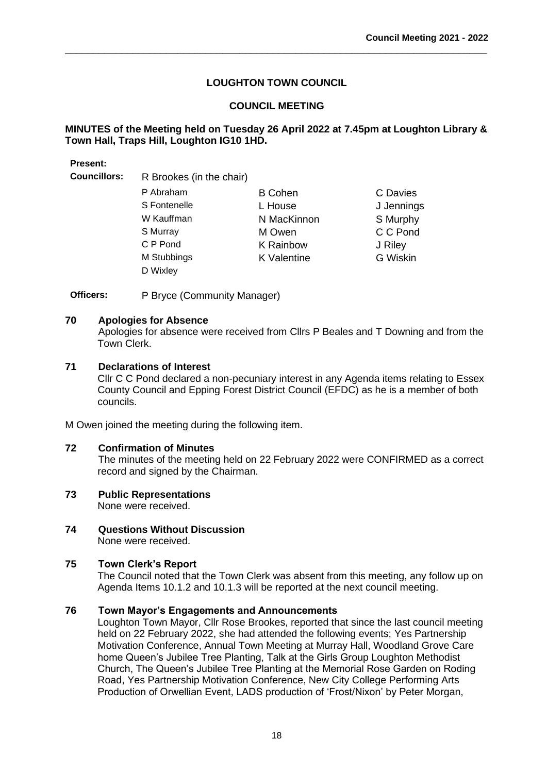\_\_\_\_\_\_\_\_\_\_\_\_\_\_\_\_\_\_\_\_\_\_\_\_\_\_\_\_\_\_\_\_\_\_\_\_\_\_\_\_\_\_\_\_\_\_\_\_\_\_\_\_\_\_\_\_\_\_\_\_\_\_\_\_\_\_\_\_\_\_\_\_\_\_\_

### **COUNCIL MEETING**

### **MINUTES of the Meeting held on Tuesday 26 April 2022 at 7.45pm at Loughton Library & Town Hall, Traps Hill, Loughton IG10 1HD.**

#### **Present:**

**Councillors:** R Brookes (in the chair)

| P Abraham    | <b>B</b> Cohen     | C Davies        |
|--------------|--------------------|-----------------|
| S Fontenelle | L House            | J Jennings      |
| W Kauffman   | N MacKinnon        | S Murphy        |
| S Murray     | M Owen             | C C Pond        |
| C P Pond     | <b>K</b> Rainbow   | J Riley         |
| M Stubbings  | <b>K</b> Valentine | <b>G</b> Wiskin |
| D Wixley     |                    |                 |

**Officers:** P Bryce (Community Manager)

#### **70 Apologies for Absence**

Apologies for absence were received from Cllrs P Beales and T Downing and from the Town Clerk.

### **71 Declarations of Interest**

Cllr C C Pond declared a non-pecuniary interest in any Agenda items relating to Essex County Council and Epping Forest District Council (EFDC) as he is a member of both councils.

M Owen joined the meeting during the following item.

#### **72 Confirmation of Minutes**

The minutes of the meeting held on 22 February 2022 were CONFIRMED as a correct record and signed by the Chairman.

#### **73 Public Representations** None were received.

**74 Questions Without Discussion**  None were received.

### **75 Town Clerk's Report**

The Council noted that the Town Clerk was absent from this meeting, any follow up on Agenda Items 10.1.2 and 10.1.3 will be reported at the next council meeting.

### **76 Town Mayor's Engagements and Announcements**

Loughton Town Mayor, Cllr Rose Brookes, reported that since the last council meeting held on 22 February 2022, she had attended the following events; Yes Partnership Motivation Conference, Annual Town Meeting at Murray Hall, Woodland Grove Care home Queen's Jubilee Tree Planting, Talk at the Girls Group Loughton Methodist Church, The Queen's Jubilee Tree Planting at the Memorial Rose Garden on Roding Road, Yes Partnership Motivation Conference, New City College Performing Arts Production of Orwellian Event, LADS production of 'Frost/Nixon' by Peter Morgan,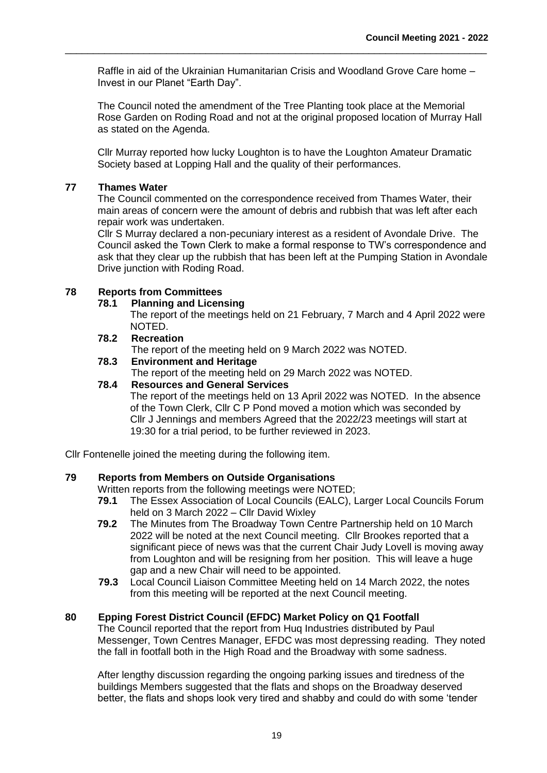Raffle in aid of the Ukrainian Humanitarian Crisis and Woodland Grove Care home – Invest in our Planet "Earth Day".

\_\_\_\_\_\_\_\_\_\_\_\_\_\_\_\_\_\_\_\_\_\_\_\_\_\_\_\_\_\_\_\_\_\_\_\_\_\_\_\_\_\_\_\_\_\_\_\_\_\_\_\_\_\_\_\_\_\_\_\_\_\_\_\_\_\_\_\_\_\_\_\_\_\_\_

The Council noted the amendment of the Tree Planting took place at the Memorial Rose Garden on Roding Road and not at the original proposed location of Murray Hall as stated on the Agenda.

Cllr Murray reported how lucky Loughton is to have the Loughton Amateur Dramatic Society based at Lopping Hall and the quality of their performances.

### **77 Thames Water**

The Council commented on the correspondence received from Thames Water, their main areas of concern were the amount of debris and rubbish that was left after each repair work was undertaken.

Cllr S Murray declared a non-pecuniary interest as a resident of Avondale Drive. The Council asked the Town Clerk to make a formal response to TW's correspondence and ask that they clear up the rubbish that has been left at the Pumping Station in Avondale Drive junction with Roding Road.

### **78 Reports from Committees**

#### **78.1 Planning and Licensing**

The report of the meetings held on 21 February, 7 March and 4 April 2022 were NOTED.

### **78.2 Recreation**

The report of the meeting held on 9 March 2022 was NOTED.

### **78.3 Environment and Heritage**

The report of the meeting held on 29 March 2022 was NOTED.

### **78.4 Resources and General Services**

The report of the meetings held on 13 April 2022 was NOTED. In the absence of the Town Clerk, Cllr C P Pond moved a motion which was seconded by Cllr J Jennings and members Agreed that the 2022/23 meetings will start at 19:30 for a trial period, to be further reviewed in 2023.

Cllr Fontenelle joined the meeting during the following item.

### **79 Reports from Members on Outside Organisations**

Written reports from the following meetings were NOTED:

- **79.1** The Essex Association of Local Councils (EALC), Larger Local Councils Forum held on 3 March 2022 – Cllr David Wixley
- **79.2** The Minutes from The Broadway Town Centre Partnership held on 10 March 2022 will be noted at the next Council meeting. Cllr Brookes reported that a significant piece of news was that the current Chair Judy Lovell is moving away from Loughton and will be resigning from her position. This will leave a huge gap and a new Chair will need to be appointed.
- **79.3** Local Council Liaison Committee Meeting held on 14 March 2022, the notes from this meeting will be reported at the next Council meeting.

### **80 Epping Forest District Council (EFDC) Market Policy on Q1 Footfall**

The Council reported that the report from Huq Industries distributed by Paul Messenger, Town Centres Manager, EFDC was most depressing reading. They noted the fall in footfall both in the High Road and the Broadway with some sadness.

After lengthy discussion regarding the ongoing parking issues and tiredness of the buildings Members suggested that the flats and shops on the Broadway deserved better, the flats and shops look very tired and shabby and could do with some 'tender